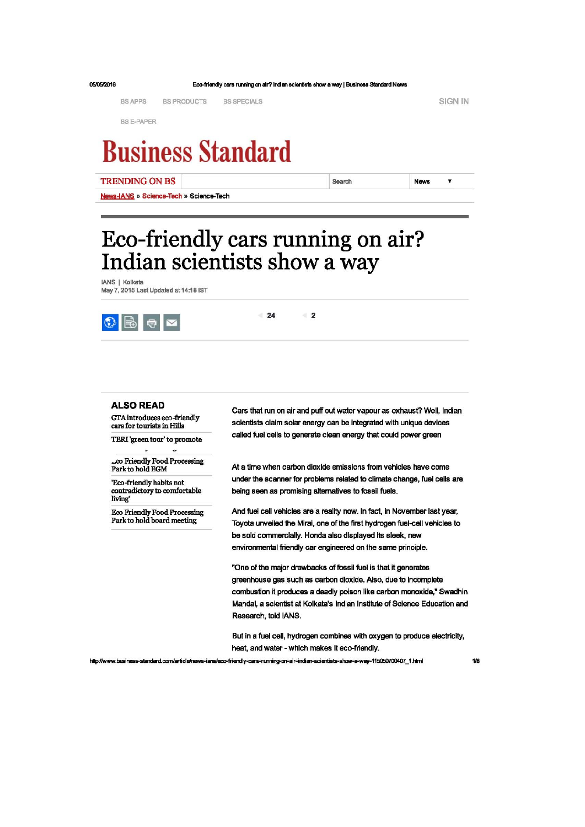| 05/05/2016               | Eco-friendly cars running on air? Indian scientists show a way   Business Standard News |                    |                    |        |             |  |  |
|--------------------------|-----------------------------------------------------------------------------------------|--------------------|--------------------|--------|-------------|--|--|
|                          | <b>BS APPS</b>                                                                          | <b>BS PRODUCTS</b> | <b>BS SPECIALS</b> |        | SIGN IN     |  |  |
|                          | <b>BS E-PAPER</b>                                                                       |                    |                    |        |             |  |  |
| <b>Business Standard</b> |                                                                                         |                    |                    |        |             |  |  |
|                          | <b>TRENDING ON BS</b>                                                                   |                    |                    | Search | <b>News</b> |  |  |

Eco-friendly cars running on air? Indian scientists show a way

**IANS | Kolkata** May 7, 2015 Last Updated at 14:18 IST

News-IANS » Science-Tech » Science-Tech



 $-24$  $\overline{2}$ 

## **ALSO READ**

GTA introduces eco-friendly cars for tourists in Hills

TERI 'green tour' to promote

..co Friendly Food Processing Park to hold EGM

'Eco-friendly habits not contradictory to comfortable living'

**Eco Friendly Food Processing** Park to hold board meeting

Cars that run on air and puff out water vapour as exhaust? Well, Indian scientists claim solar energy can be integrated with unique devices called fuel cells to generate clean energy that could power green

At a time when carbon dioxide emissions from vehicles have come under the scanner for problems related to climate change, fuel cells are being seen as promising alternatives to fossil fuels.

And fuel cell vehicles are a reality now. In fact, in November last year, Toyota unveiled the Mirai, one of the first hydrogen fuel-cell vehicles to be sold commercially. Honda also displayed its sleek, new environmental friendly car engineered on the same principle.

"One of the major drawbacks of fossil fuel is that it generates greenhouse gas such as carbon dioxide. Also, due to incomplete combustion it produces a deadly poison like carbon monoxide," Swadhin Mandal, a scientist at Kolkata's Indian Institute of Science Education and Research, told IANS.

But in a fuel cell, hydrogen combines with oxygen to produce electricity, heat, and water - which makes it eco-friendly.

http://www.business-standard.com/article/news-ians/eco-friendly-cars-running-on-air-indian-scientists-show-a-way-115050700407\_1.html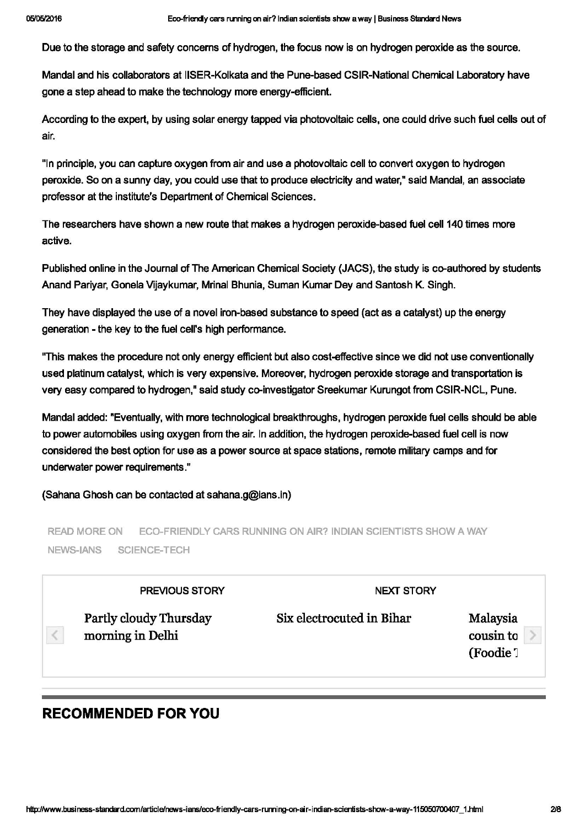Due to the storage and safety concerns of hydrogen, the focus now is on hydrogen peroxide as the source.

Mandal and his collaborators at IISER-Kolkata and the Pune-based CSIR-National Chemical Laboratory have gone a step ahead to make the technology more energy-efficient.

According to the expert, by using solar energy tapped via photovoltaic cells, one could drive such fuel cells out of air.

"In principle, you can capture oxygen from air and use a photovoltaic cell to convert oxygen to hydrogen peroxide. So on a sunny day, you could use that to produce electricity and water," said Mandal, an associate professor at the institute's Department of Chemical Sciences.

The researchers have shown a new route that makes a hydrogen peroxide-based fuel cell 140 times more active.

Published online in the Journal of The American Chemical Society (JACS), the study is co-authored by students Anand Pariyar, Gonela Vijaykumar, Mrinal Bhunia, Suman Kumar Dey and Santosh K. Singh.

They have displayed the use of a novel iron-based substance to speed (act as a catalyst) up the energy generation - the key to the fuel cell's high performance.

"This makes the procedure not only energy efficient but also cost-effective since we did not use conventionally used platinum catalyst, which is very expensive. Moreover, hydrogen peroxide storage and transportation is very easy compared to hydrogen," said study co-investigator Sreekumar Kurungot from CSIR-NCL, Pune.

Mandal added: "Eventually, with more technological breakthroughs, hydrogen peroxide fuel cells should be able to power automobiles using oxygen from the air. In addition, the hydrogen peroxide-based fuel cell is now considered the best option for use as a power source at space stations, remote military camps and for underwater power requirements."

(Sahana Ghosh can be contacted at sahana.g@ians.in)

ECO-FRIENDLY CARS RUNNING ON AIR? INDIAN SCIENTISTS SHOW A WAY **READ MORE ON** NEWS-IANS SCIENCE-TECH

| <b>PREVIOUS STORY</b>                      | <b>NEXT STORY</b>         |                                               |
|--------------------------------------------|---------------------------|-----------------------------------------------|
| Partly cloudy Thursday<br>morning in Delhi | Six electrocuted in Bihar | Malaysia<br>cousin to<br>(Foodie <sup>7</sup> |

## **RECOMMENDED FOR YOU**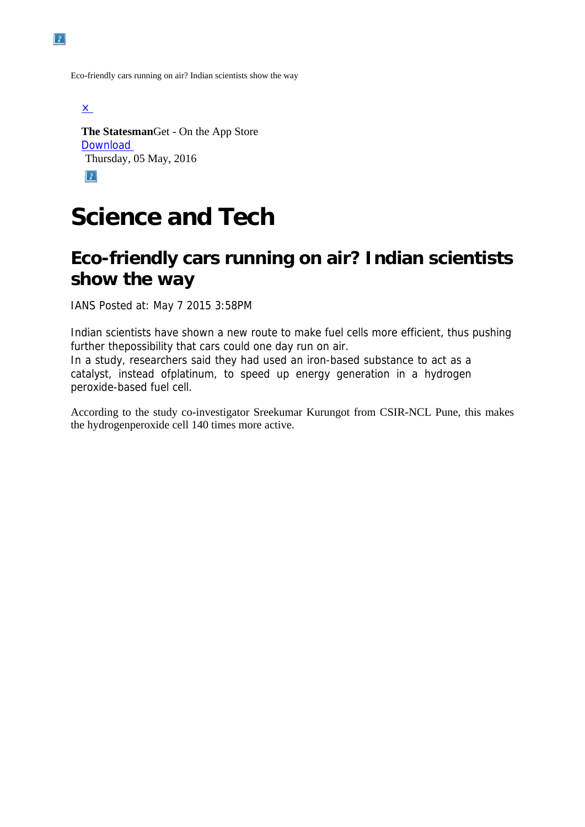Eco-friendly cars running on air? Indian scientists show the way

 $\times$ 

**The Statesman**Get - On the App Store [Download](https://itunes.apple.com/us/app/statesman-newspaper/id1054867465?mt=8)  Thursday, 05 May, 2016

 $|2|$ 

## **Science and Tech**

## **Eco-friendly cars running on air? Indian scientists show the way**

IANS Posted at: May 7 2015 3:58PM

Indian scientists have shown a new route to make fuel cells more efficient, thus pushing further thepossibility that cars could one day run on air. In a study, researchers said they had used an iron-based substance to act as a

catalyst, instead ofplatinum, to speed up energy generation in a hydrogen peroxide-based fuel cell.

According to the study co-investigator Sreekumar Kurungot from CSIR-NCL Pune, this makes the hydrogenperoxide cell 140 times more active.